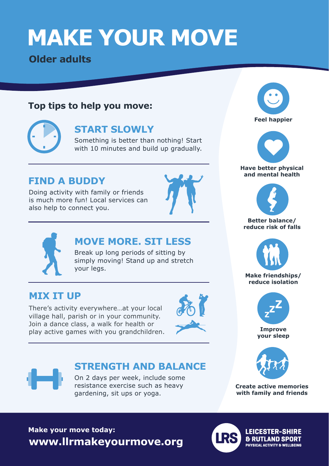# **MAKE YOUR MOVE**

**Older adults**

#### **Top tips to help you move:**



#### **START SLOWLY**

Something is better than nothing! Start with 10 minutes and build up gradually.

### **FIND A BUDDY**

Doing activity with family or friends is much more fun! Local services can also help to connect you.





### **MOVE MORE. SIT LESS**

Break up long periods of sitting by simply moving! Stand up and stretch your legs.

#### **MIX IT UP**

There's activity everywhere…at your local village hall, parish or in your community. Join a dance class, a walk for health or play active games with you grandchildren.





## **STRENGTH AND BALANCE**

On 2 days per week, include some resistance exercise such as heavy gardening, sit ups or yoga.





#### **Have better physical and mental health**



#### **Better balance/ reduce risk of falls**



**Make friendships/ reduce isolation**



**Improve your sleep**



**Create active memories with family and friends**

## **Make your move today: www.llrmakeyourmove.org**



**LEICESTER-SHIRE & RUTLAND SPORT PHYSICAL ACTIVITY & WELLBEING**